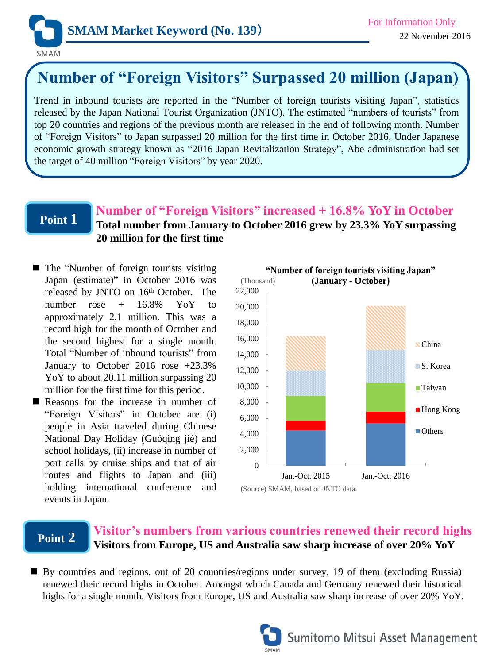

# **Number of "Foreign Visitors" Surpassed 20 million (Japan)**

Trend in inbound tourists are reported in the "Number of foreign tourists visiting Japan", statistics released by the Japan National Tourist Organization (JNTO). The estimated "numbers of tourists" from top 20 countries and regions of the previous month are released in the end of following month. Number of "Foreign Visitors" to Japan surpassed 20 million for the first time in October 2016. Under Japanese economic growth strategy known as "2016 Japan Revitalization Strategy", Abe administration had set the target of 40 million "Foreign Visitors" by year 2020.

## **Point 1**

## **Number of "Foreign Visitors" increased + 16.8% YoY in October Total number from January to October 2016 grew by 23.3% YoY surpassing 20 million for the first time**

- The "Number of foreign tourists visiting Japan (estimate)" in October 2016 was released by JNTO on 16<sup>th</sup> October. The number  $rose + 16.8\%$  Yo Y to approximately 2.1 million. This was a record high for the month of October and the second highest for a single month. Total "Number of inbound tourists" from January to October 2016 rose +23.3% YoY to about 20.11 million surpassing 20 million for the first time for this period.
- Reasons for the increase in number of "Foreign Visitors" in October are (i) people in Asia traveled during Chinese National Day Holiday (Guóqìng jié) and school holidays, (ii) increase in number of port calls by cruise ships and that of air routes and flights to Japan and (iii) holding international conference and events in Japan.



# **Point 2**

## **Visitor's numbers from various countries renewed their record highs Visitors from Europe, US and Australia saw sharp increase of over 20% YoY**

By countries and regions, out of 20 countries/regions under survey, 19 of them (excluding Russia) renewed their record highs in October. Amongst which Canada and Germany renewed their historical highs for a single month. Visitors from Europe, US and Australia saw sharp increase of over 20% YoY.